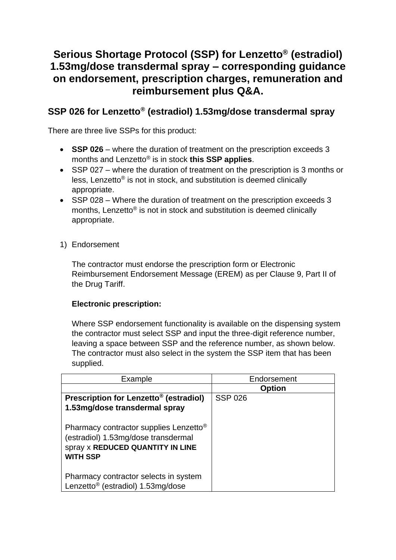# **Serious Shortage Protocol (SSP) for Lenzetto® (estradiol) 1.53mg/dose transdermal spray – corresponding guidance on endorsement, prescription charges, remuneration and reimbursement plus Q&A.**

# **SSP 026 for Lenzetto® (estradiol) 1.53mg/dose transdermal spray**

There are three live SSPs for this product:

- **SSP 026** where the duration of treatment on the prescription exceeds 3 months and Lenzetto® is in stock **this SSP applies**.
- SSP 027 where the duration of treatment on the prescription is 3 months or less, Lenzetto® is not in stock, and substitution is deemed clinically appropriate.
- SSP 028 Where the duration of treatment on the prescription exceeds 3 months, Lenzetto® is not in stock and substitution is deemed clinically appropriate.
- 1) Endorsement

The contractor must endorse the prescription form or Electronic Reimbursement Endorsement Message (EREM) as per Clause 9, Part II of the Drug Tariff.

# **Electronic prescription:**

Where SSP endorsement functionality is available on the dispensing system the contractor must select SSP and input the three-digit reference number, leaving a space between SSP and the reference number, as shown below. The contractor must also select in the system the SSP item that has been supplied.

| Example                                                                                                                                                 | Endorsement    |
|---------------------------------------------------------------------------------------------------------------------------------------------------------|----------------|
|                                                                                                                                                         | <b>Option</b>  |
| Prescription for Lenzetto <sup>®</sup> (estradiol)                                                                                                      | <b>SSP 026</b> |
| 1.53mg/dose transdermal spray                                                                                                                           |                |
| Pharmacy contractor supplies Lenzetto <sup>®</sup><br>(estradiol) 1.53mg/dose transdermal<br><b>spray x REDUCED QUANTITY IN LINE</b><br><b>WITH SSP</b> |                |
| Pharmacy contractor selects in system<br>Lenzetto <sup>®</sup> (estradiol) 1.53mg/dose                                                                  |                |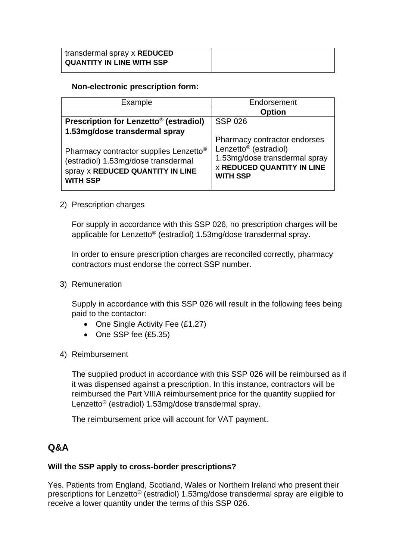| transdermal spray x REDUCED      |  |
|----------------------------------|--|
| <b>QUANTITY IN LINE WITH SSP</b> |  |

#### **Non-electronic prescription form:**

| Example                                                                                                                                          | Endorsement                                                                                                                |
|--------------------------------------------------------------------------------------------------------------------------------------------------|----------------------------------------------------------------------------------------------------------------------------|
|                                                                                                                                                  | <b>Option</b>                                                                                                              |
| Prescription for Lenzetto <sup>®</sup> (estradiol)                                                                                               | <b>SSP 026</b>                                                                                                             |
| 1.53mg/dose transdermal spray                                                                                                                    | Pharmacy contractor endorses                                                                                               |
| Pharmacy contractor supplies Lenzetto <sup>®</sup><br>(estradiol) 1.53mg/dose transdermal<br>spray x REDUCED QUANTITY IN LINE<br><b>WITH SSP</b> | Lenzetto <sup>®</sup> (estradiol)<br>1.53mg/dose transdermal spray<br><b>X REDUCED QUANTITY IN LINE</b><br><b>WITH SSP</b> |

#### 2) Prescription charges

For supply in accordance with this SSP 026, no prescription charges will be applicable for Lenzetto® (estradiol) 1.53mg/dose transdermal spray.

In order to ensure prescription charges are reconciled correctly, pharmacy contractors must endorse the correct SSP number.

3) Remuneration

Supply in accordance with this SSP 026 will result in the following fees being paid to the contactor:

- One Single Activity Fee (£1.27)
- One SSP fee (£5.35)
- 4) Reimbursement

The supplied product in accordance with this SSP 026 will be reimbursed as if it was dispensed against a prescription. In this instance, contractors will be reimbursed the Part VIIIA reimbursement price for the quantity supplied for Lenzetto® (estradiol) 1.53mg/dose transdermal spray.

The reimbursement price will account for VAT payment.

# **Q&A**

# **Will the SSP apply to cross-border prescriptions?**

Yes. Patients from England, Scotland, Wales or Northern Ireland who present their prescriptions for Lenzetto® (estradiol) 1.53mg/dose transdermal spray are eligible to receive a lower quantity under the terms of this SSP 026.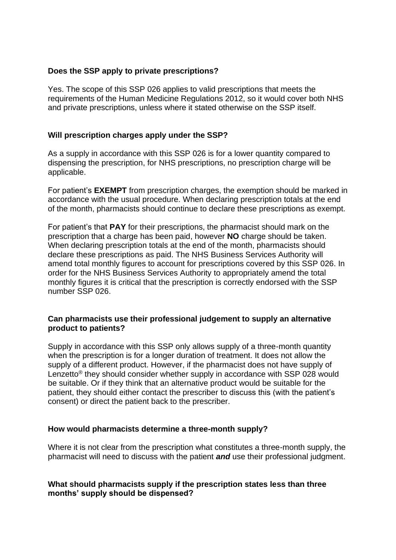#### **Does the SSP apply to private prescriptions?**

Yes. The scope of this SSP 026 applies to valid prescriptions that meets the requirements of the Human Medicine Regulations 2012, so it would cover both NHS and private prescriptions, unless where it stated otherwise on the SSP itself.

#### **Will prescription charges apply under the SSP?**

As a supply in accordance with this SSP 026 is for a lower quantity compared to dispensing the prescription, for NHS prescriptions, no prescription charge will be applicable.

For patient's **EXEMPT** from prescription charges, the exemption should be marked in accordance with the usual procedure. When declaring prescription totals at the end of the month, pharmacists should continue to declare these prescriptions as exempt.

For patient's that **PAY** for their prescriptions, the pharmacist should mark on the prescription that a charge has been paid, however **NO** charge should be taken. When declaring prescription totals at the end of the month, pharmacists should declare these prescriptions as paid. The NHS Business Services Authority will amend total monthly figures to account for prescriptions covered by this SSP 026. In order for the NHS Business Services Authority to appropriately amend the total monthly figures it is critical that the prescription is correctly endorsed with the SSP number SSP 026.

#### **Can pharmacists use their professional judgement to supply an alternative product to patients?**

Supply in accordance with this SSP only allows supply of a three-month quantity when the prescription is for a longer duration of treatment. It does not allow the supply of a different product. However, if the pharmacist does not have supply of Lenzetto® they should consider whether supply in accordance with SSP 028 would be suitable. Or if they think that an alternative product would be suitable for the patient, they should either contact the prescriber to discuss this (with the patient's consent) or direct the patient back to the prescriber.

#### **How would pharmacists determine a three-month supply?**

Where it is not clear from the prescription what constitutes a three-month supply, the pharmacist will need to discuss with the patient *and* use their professional judgment.

#### **What should pharmacists supply if the prescription states less than three months' supply should be dispensed?**